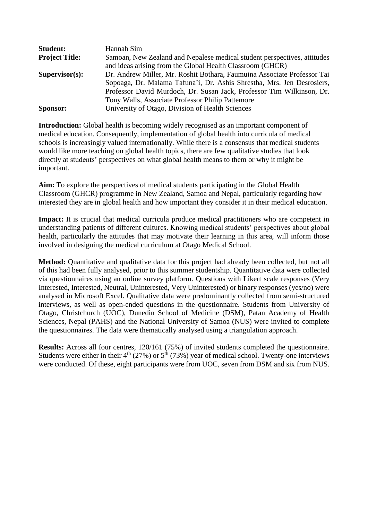| <b>Student:</b>       | Hannah Sim                                                               |
|-----------------------|--------------------------------------------------------------------------|
| <b>Project Title:</b> | Samoan, New Zealand and Nepalese medical student perspectives, attitudes |
|                       | and ideas arising from the Global Health Classroom (GHCR)                |
| $Supervisor(s)$ :     | Dr. Andrew Miller, Mr. Roshit Bothara, Faumuina Associate Professor Tai  |
|                       | Sopoaga, Dr. Malama Tafuna'i, Dr. Ashis Shrestha, Mrs. Jen Desrosiers,   |
|                       | Professor David Murdoch, Dr. Susan Jack, Professor Tim Wilkinson, Dr.    |
|                       | Tony Walls, Associate Professor Philip Pattemore                         |
| <b>Sponsor:</b>       | University of Otago, Division of Health Sciences                         |

**Introduction:** Global health is becoming widely recognised as an important component of medical education. Consequently, implementation of global health into curricula of medical schools is increasingly valued internationally. While there is a consensus that medical students would like more teaching on global health topics, there are few qualitative studies that look directly at students' perspectives on what global health means to them or why it might be important.

**Aim:** To explore the perspectives of medical students participating in the Global Health Classroom (GHCR) programme in New Zealand, Samoa and Nepal, particularly regarding how interested they are in global health and how important they consider it in their medical education.

**Impact:** It is crucial that medical curricula produce medical practitioners who are competent in understanding patients of different cultures. Knowing medical students' perspectives about global health, particularly the attitudes that may motivate their learning in this area, will inform those involved in designing the medical curriculum at Otago Medical School.

**Method:** Quantitative and qualitative data for this project had already been collected, but not all of this had been fully analysed, prior to this summer studentship. Quantitative data were collected via questionnaires using an online survey platform. Questions with Likert scale responses (Very Interested, Interested, Neutral, Uninterested, Very Uninterested) or binary responses (yes/no) were analysed in Microsoft Excel. Qualitative data were predominantly collected from semi-structured interviews, as well as open-ended questions in the questionnaire. Students from University of Otago, Christchurch (UOC), Dunedin School of Medicine (DSM), Patan Academy of Health Sciences, Nepal (PAHS) and the National University of Samoa (NUS) were invited to complete the questionnaires. The data were thematically analysed using a triangulation approach.

**Results:** Across all four centres, 120/161 (75%) of invited students completed the questionnaire. Students were either in their  $4<sup>th</sup>$  (27%) or  $5<sup>th</sup>$  (73%) year of medical school. Twenty-one interviews were conducted. Of these, eight participants were from UOC, seven from DSM and six from NUS.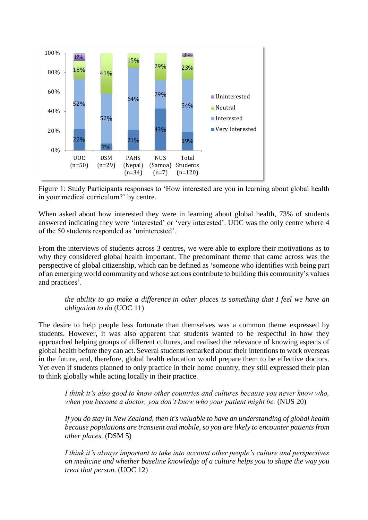

Figure 1: Study Participants responses to 'How interested are you in learning about global health in your medical curriculum?' by centre.

When asked about how interested they were in learning about global health, 73% of students answered indicating they were 'interested' or 'very interested'. UOC was the only centre where 4 of the 50 students responded as 'uninterested'.

From the interviews of students across 3 centres, we were able to explore their motivations as to why they considered global health important. The predominant theme that came across was the perspective of global citizenship, which can be defined as 'someone who identifies with being part of an emerging world community and whose actions contribute to building this community's values and practices'.

## *the ability to go make a difference in other places is something that I feel we have an obligation to do* (UOC 11)

The desire to help people less fortunate than themselves was a common theme expressed by students. However, it was also apparent that students wanted to be respectful in how they approached helping groups of different cultures, and realised the relevance of knowing aspects of global health before they can act. Several students remarked about their intentions to work overseas in the future, and, therefore, global health education would prepare them to be effective doctors. Yet even if students planned to only practice in their home country, they still expressed their plan to think globally while acting locally in their practice.

*I think it's also good to know other countries and cultures because you never know who, when you become a doctor, you don't know who your patient might be.* (NUS 20)

*If you do stay in New Zealand, then it's valuable to have an understanding of global health because populations are transient and mobile, so you are likely to encounter patients from other places.* (DSM 5)

*I think it's always important to take into account other people's culture and perspectives on medicine and whether baseline knowledge of a culture helps you to shape the way you treat that person.* (UOC 12)